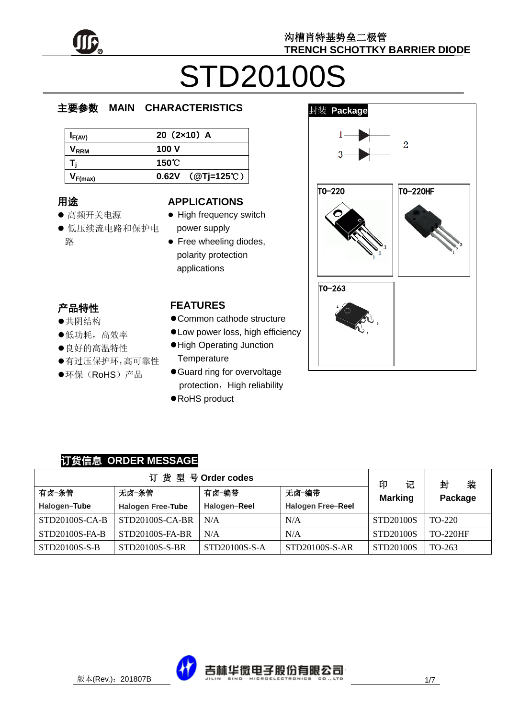

# STD20100S

#### e  $\overline{\phantom{a}}$ 主要参数 **MAIN CHARACTERISTICS**

| I <sub>F(AV)</sub>          | $20(2x10)$ A               |
|-----------------------------|----------------------------|
| $\mathsf{V}_{\mathsf{RRM}}$ | 100 V                      |
|                             | 150℃                       |
| F(max)                      | 0.62V $(QTj=125^{\circ}C)$ |

# 用途

- ……<br>● 高频开关电源
- יי<br>ל 低压续流电路和保护电 r. 路

### **APPLICATIONS**

- High frequency switch power supply
- Free wheeling diodes, polarity protection applications

## 产品特性

- , H-IVI工<br>●共阴结构
- 大切地市<br>●低功耗,高效率
- ●良好的高温特性
- 有过压保护环,高可靠性
- $\hat{\cdot}$  $\overline{a}$ ●环保(RoHS)产品

### **FEATURES**

- Common cathode structure
- Low power loss, high efficiency
- High Operating Junction **Temperature**
- Guard ring for overvoltage protection, High reliability
- RoHS product



### 订货信息 **ORDER MESSAGE**

| 订货型号Order codes |                          |               |                          |                          | 装<br>封          |
|-----------------|--------------------------|---------------|--------------------------|--------------------------|-----------------|
| 有卤-条管           | 无卤-条管                    | 有卤-编带         | 无卤-编带                    | 印<br>记<br><b>Marking</b> | Package         |
| Halogen-Tube    | <b>Halogen Free-Tube</b> | Halogen-Reel  | <b>Halogen Free-Reel</b> |                          |                 |
| STD20100S-CA-B  | STD20100S-CA-BR          | N/A           | N/A                      | STD20100S                | TO-220          |
| STD20100S-FA-B  | STD20100S-FA-BR          | N/A           | N/A                      | STD20100S                | <b>TO-220HF</b> |
| STD20100S-S-B   | STD20100S-S-BR           | STD20100S-S-A | STD20100S-S-AR           | STD20100S                | TO-263          |

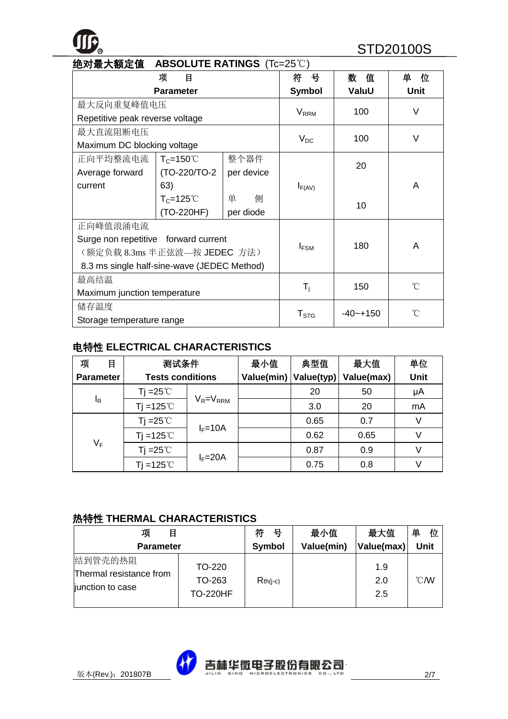# **R** STD20100S

| 绝对最大额定值                                     | <b>ABSOLUTE RATINGS</b> (Tc=25°C) |            |                         |              |             |
|---------------------------------------------|-----------------------------------|------------|-------------------------|--------------|-------------|
|                                             | 项<br>目                            |            | 뮹<br>符                  | 数<br>值       | 单<br>位      |
|                                             | <b>Parameter</b>                  |            | <b>Symbol</b>           | ValuU        | <b>Unit</b> |
| 最大反向重复峰值电压                                  |                                   |            |                         | 100          | $\vee$      |
| Repetitive peak reverse voltage             |                                   |            | <b>V</b> <sub>RRM</sub> |              |             |
| 最大直流阻断电压                                    |                                   |            |                         | 100          | $\vee$      |
| Maximum DC blocking voltage                 |                                   |            | $V_{DC}$                |              |             |
| 正向平均整流电流                                    | $T_c = 150^{\circ}$               | 整个器件       |                         | 20           |             |
| Average forward                             | (TO-220/TO-2                      | per device |                         |              |             |
| current                                     | 63)                               |            | $I_{F(AV)}$             |              | A           |
|                                             | $T_c = 125^\circ C$               | 侧<br>单     |                         | 10           |             |
|                                             | (TO-220HF)                        | per diode  |                         |              |             |
| 正向峰值浪涌电流                                    |                                   |            |                         |              |             |
| Surge non repetitive forward current        |                                   |            |                         | 180          | A           |
| (额定负载 8.3ms 半正弦波—按 JEDEC 方法)                |                                   |            | $I_{FSM}$               |              |             |
| 8.3 ms single half-sine-wave (JEDEC Method) |                                   |            |                         |              |             |
| 最高结温                                        |                                   |            |                         |              | °C          |
| Maximum junction temperature                |                                   |            | $\mathsf{T}_\mathsf{i}$ | 150          |             |
| 储存温度                                        |                                   |            |                         | $-40 - +150$ | ົ           |
| Storage temperature range                   |                                   |            | ${\sf T}_{\text{STG}}$  |              |             |

### 电特性 **ELECTRICAL CHARACTERISTICS**

| 项<br>目           | 测试条件                    |                 | 最小值        | 典型值        | 最大值        | 单位   |
|------------------|-------------------------|-----------------|------------|------------|------------|------|
| <b>Parameter</b> | <b>Tests conditions</b> |                 | Value(min) | Value(typ) | Value(max) | Unit |
|                  | Tj =25 $^{\circ}$ C     |                 |            | 20         | 50         | μA   |
| $I_R$            | $Ti = 125^{\circ}$      | $V_R = V_{RRM}$ |            | 3.0        | 20         | mA   |
|                  | Tj =25 $\degree$ C      |                 |            | 0.65       | 0.7        | V    |
|                  | Ti = $125^{\circ}$ C    | $I_F = 10A$     |            | 0.62       | 0.65       | V    |
| $V_F$            | Tj =25 $\degree$ C      |                 |            | 0.87       | 0.9        | V    |
|                  | Ti =125 $°C$            | $I_F = 20A$     |            | 0.75       | 0.8        |      |

#### 热特性 **THERMAL CHARACTERISTICS**

| 项<br>目                                                 |                                     | 符<br>븅     | 最小值        | 最大值               | 单<br>位           |
|--------------------------------------------------------|-------------------------------------|------------|------------|-------------------|------------------|
| <b>Parameter</b>                                       |                                     | Symbol     | Value(min) | Value(max)        | <b>Unit</b>      |
| 结到管壳的热阻<br>Thermal resistance from<br>junction to case | TO-220<br>TO-263<br><b>TO-220HF</b> | $Rth(i-c)$ |            | 1.9<br>2.0<br>2.5 | $\mathcal{C}$ MV |

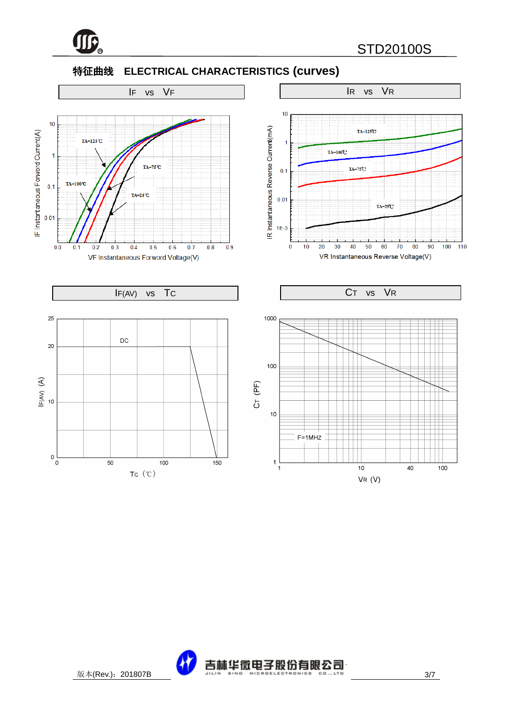

### 特征曲线 **ELECTRICAL CHARACTERISTICS (curves)**



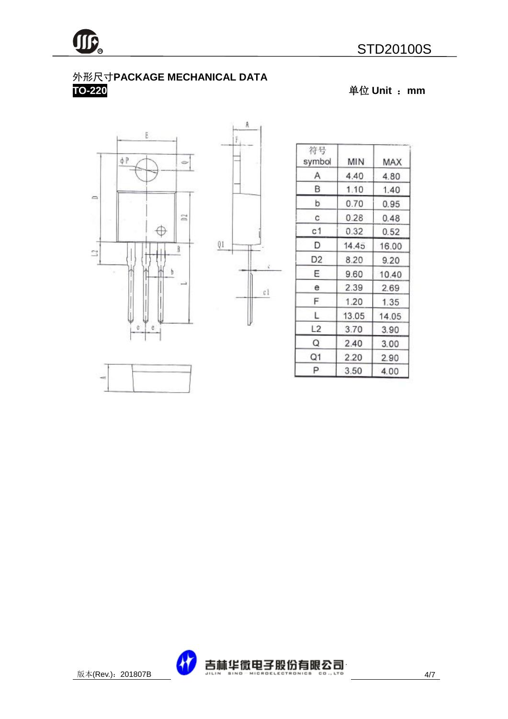

### 外形尺寸**PACKAGE MECHANICAL DATA TO-220** 单位 **Unit** :**mm**





A

| 符号<br>symbol   | MIN   | MAX   |
|----------------|-------|-------|
| Α              | 4.40  | 4.80  |
| В              | 1.10  | 1.40  |
| þ              | 0.70  | 0.95  |
| C.             | 0.28  | 0.48  |
| с1             | 0.32  | 0.52  |
| D              | 14.45 | 16.00 |
| D <sub>2</sub> | 8.20  | 9.20  |
| E              | 9.60  | 10.40 |
| е              | 2.39  | 2.69  |
| F              | 1.20  | 1.35  |
| L              | 13.05 | 14.05 |
| L2             | 3.70  | 3.90  |
| Q              | 2.40  | 3.00  |
| Q1             | 2.20  | 2.90  |
| Ρ              | 3.50  | 4.00  |



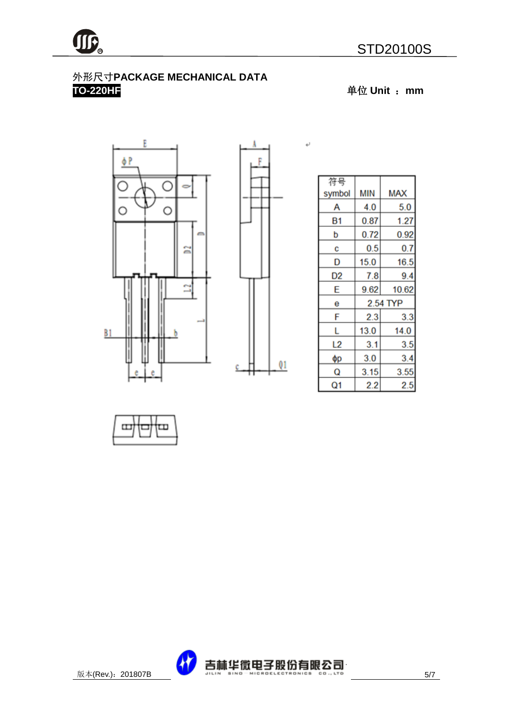### 外形尺寸**PACKAGE MECHANICAL DATA TO-220HF** 单位 **Unit** :**mm**





 $\downarrow$ 

| 符号     |      |            |
|--------|------|------------|
| symbol | MIN  | <b>MAX</b> |
| А      | 4.0  | 5.0        |
| Β1     | 0.87 | 1.27       |
| p      | 0.72 | 0.92       |
| C      | 0.5  | 0.7        |
| D      | 15.0 | 16.5       |
| D2     | 7.8  | 9.4        |
| E      | 9.62 | 10.62      |
| е      |      | 2.54 TYP   |
| F      | 2.3  | 3.3        |
| L      | 13.0 | 14.0       |
| L2     | 3.1  | 3.5        |
| фp     | 3.0  | 3.4        |
| Q      | 3.15 | 3.55       |
| Q1     | 2.2  | 2.5        |



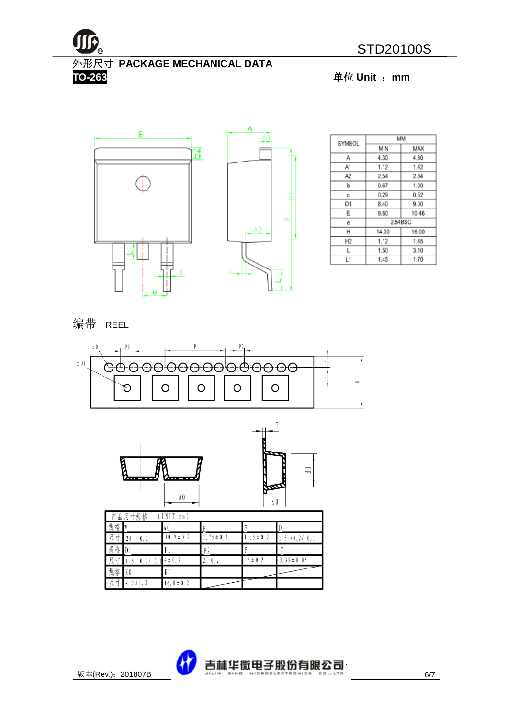

外形尺寸 **PACKAGE MECHANICAL DATA TO-263** 单位 **Unit** :**mm**



|                |       | MМ      |
|----------------|-------|---------|
| SYMBOL         | MIN   | MAX     |
| Α              | 4.30  | 4.80    |
| A1             | 1.12  | 1.42    |
| A2             | 2.54  | 2.84    |
| b              | 0.67  | 1.00    |
| с              | 0.29  | 0.52    |
| D1             | 8.40  | 9.00    |
| Ε              | 9.80  | 10.46   |
| е              |       | 2.54BSC |
| н              | 14.00 | 16.00   |
| H <sub>2</sub> | 1.12  | 1.45    |
| L              | 1.50  | 3.10    |
| L1             | 1.45  | 1.70    |

编带 REEL





| Г<br>品<br>立 | 尺寸规格            | UNIT: mm        |                |               |                    |
|-------------|-----------------|-----------------|----------------|---------------|--------------------|
| 规<br>格      |                 | A 0             |                |               |                    |
| 尺<br>₹      | ± 0.3<br>24     | $10.9 \pm 0.2$  | $.75 \pm 0.2$  | $1.5 \pm 0.2$ | $+0.2/-0.1$<br>1.5 |
| 规<br>格      | $\blacksquare$  | P <sub>0</sub>  | P <sub>2</sub> |               |                    |
| 尺<br>⊀      | $+0.2/-0.$<br>5 | $\pm$ 0.2<br>14 | $2 \pm 0.2$    | $16 \pm 0.2$  | $0.35 \pm 0.05$    |
| 规<br>格      | K <sub>0</sub>  | B0              |                |               |                    |
| 尺<br>⊀      | 4. $9 \pm 0.2$  | $16.0 \pm 0.2$  |                |               |                    |